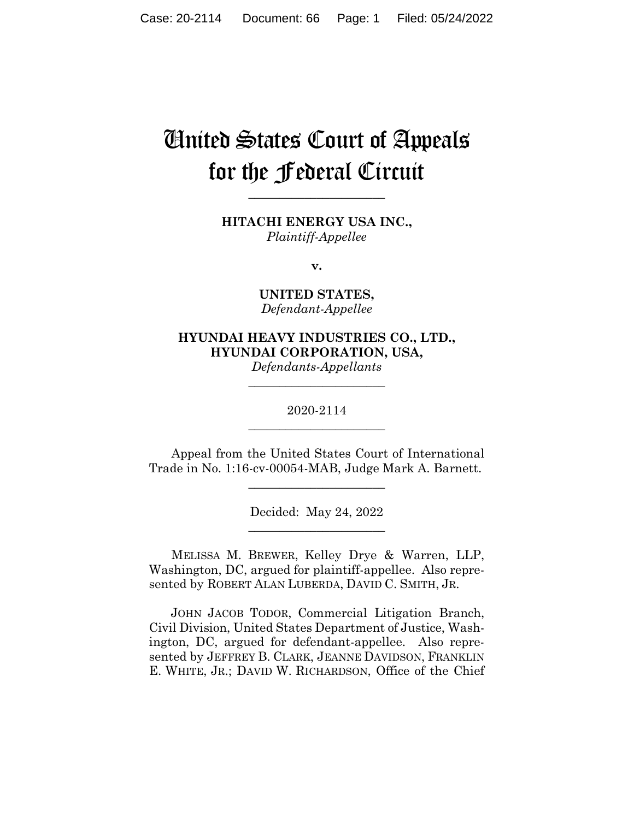# United States Court of Appeals for the Federal Circuit

**HITACHI ENERGY USA INC.,** *Plaintiff-Appellee*

**\_\_\_\_\_\_\_\_\_\_\_\_\_\_\_\_\_\_\_\_\_\_** 

**v.**

**UNITED STATES,** *Defendant-Appellee*

**HYUNDAI HEAVY INDUSTRIES CO., LTD., HYUNDAI CORPORATION, USA,**

*Defendants-Appellants* **\_\_\_\_\_\_\_\_\_\_\_\_\_\_\_\_\_\_\_\_\_\_** 

2020-2114 **\_\_\_\_\_\_\_\_\_\_\_\_\_\_\_\_\_\_\_\_\_\_** 

Appeal from the United States Court of International Trade in No. 1:16-cv-00054-MAB, Judge Mark A. Barnett.

\_\_\_\_\_\_\_\_\_\_\_\_\_\_\_\_\_\_\_\_\_\_

Decided: May 24, 2022 \_\_\_\_\_\_\_\_\_\_\_\_\_\_\_\_\_\_\_\_\_\_

MELISSA M. BREWER, Kelley Drye & Warren, LLP, Washington, DC, argued for plaintiff-appellee. Also represented by ROBERT ALAN LUBERDA, DAVID C. SMITH, JR.

 JOHN JACOB TODOR, Commercial Litigation Branch, Civil Division, United States Department of Justice, Washington, DC, argued for defendant-appellee. Also represented by JEFFREY B. CLARK, JEANNE DAVIDSON, FRANKLIN E. WHITE, JR.; DAVID W. RICHARDSON, Office of the Chief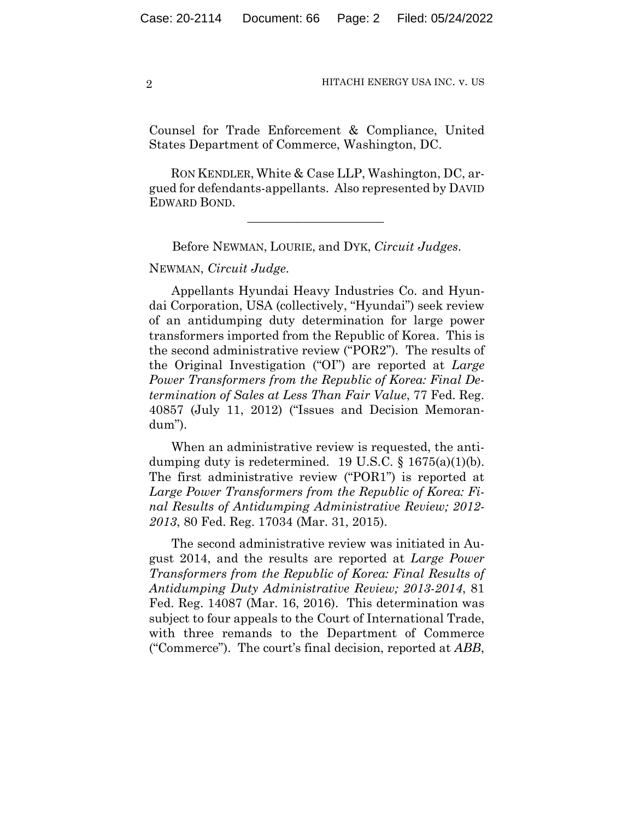Counsel for Trade Enforcement & Compliance, United States Department of Commerce, Washington, DC.

 RON KENDLER, White & Case LLP, Washington, DC, argued for defendants-appellants. Also represented by DAVID EDWARD BOND.

Before NEWMAN, LOURIE, and DYK, *Circuit Judges*.

 $\mathcal{L}_\text{max}$  and  $\mathcal{L}_\text{max}$  and  $\mathcal{L}_\text{max}$  and  $\mathcal{L}_\text{max}$ 

NEWMAN, *Circuit Judge*.

Appellants Hyundai Heavy Industries Co. and Hyundai Corporation, USA (collectively, "Hyundai") seek review of an antidumping duty determination for large power transformers imported from the Republic of Korea. This is the second administrative review ("POR2"). The results of the Original Investigation ("OI") are reported at *Large Power Transformers from the Republic of Korea: Final Determination of Sales at Less Than Fair Value*, 77 Fed. Reg. 40857 (July 11, 2012) ("Issues and Decision Memorandum").

When an administrative review is requested, the antidumping duty is redetermined. 19 U.S.C.  $\S$  1675(a)(1)(b). The first administrative review ("POR1") is reported at *Large Power Transformers from the Republic of Korea: Final Results of Antidumping Administrative Review; 2012- 2013*, 80 Fed. Reg. 17034 (Mar. 31, 2015).

The second administrative review was initiated in August 2014, and the results are reported at *Large Power Transformers from the Republic of Korea: Final Results of Antidumping Duty Administrative Review; 2013-2014*, 81 Fed. Reg. 14087 (Mar. 16, 2016). This determination was subject to four appeals to the Court of International Trade, with three remands to the Department of Commerce ("Commerce"). The court's final decision, reported at *ABB*,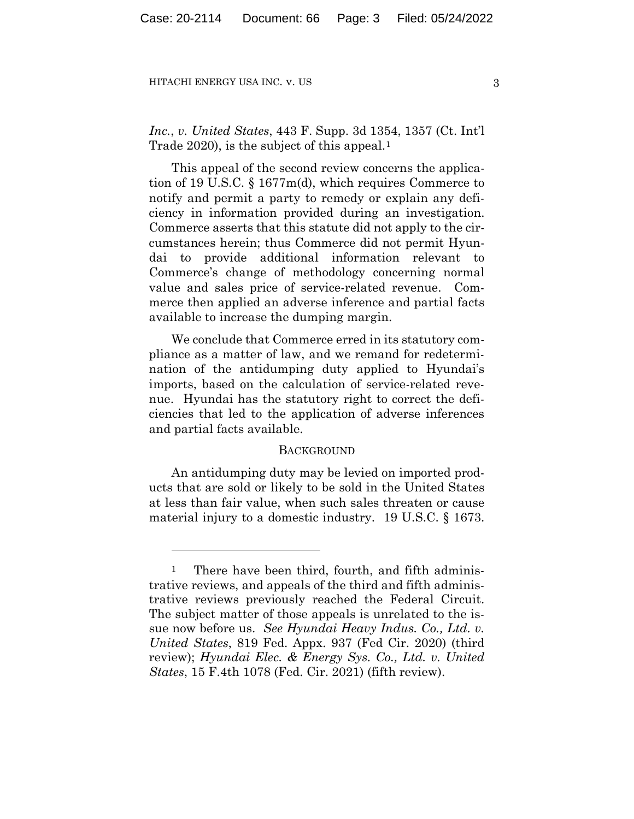*Inc.*, *v. United States*, 443 F. Supp. 3d 1354, 1357 (Ct. Int'l Trade 2020), is the subject of this appeal.<sup>1</sup>

This appeal of the second review concerns the application of 19 U.S.C. § 1677m(d), which requires Commerce to notify and permit a party to remedy or explain any deficiency in information provided during an investigation. Commerce asserts that this statute did not apply to the circumstances herein; thus Commerce did not permit Hyundai to provide additional information relevant to Commerce's change of methodology concerning normal value and sales price of service-related revenue. Commerce then applied an adverse inference and partial facts available to increase the dumping margin.

We conclude that Commerce erred in its statutory compliance as a matter of law, and we remand for redetermination of the antidumping duty applied to Hyundai's imports, based on the calculation of service-related revenue. Hyundai has the statutory right to correct the deficiencies that led to the application of adverse inferences and partial facts available.

#### **BACKGROUND**

An antidumping duty may be levied on imported products that are sold or likely to be sold in the United States at less than fair value, when such sales threaten or cause material injury to a domestic industry. 19 U.S.C. § 1673.

<sup>&</sup>lt;sup>1</sup> There have been third, fourth, and fifth administrative reviews, and appeals of the third and fifth administrative reviews previously reached the Federal Circuit. The subject matter of those appeals is unrelated to the issue now before us. *See Hyundai Heavy Indus. Co., Ltd. v. United States*, 819 Fed. Appx. 937 (Fed Cir. 2020) (third review); *Hyundai Elec. & Energy Sys. Co., Ltd. v. United States*, 15 F.4th 1078 (Fed. Cir. 2021) (fifth review).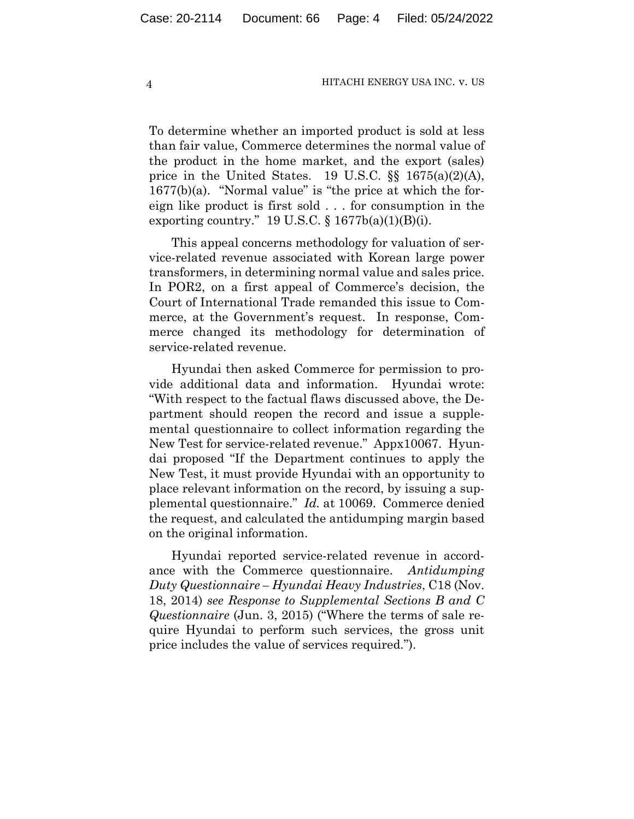To determine whether an imported product is sold at less than fair value, Commerce determines the normal value of the product in the home market, and the export (sales) price in the United States. 19 U.S.C.  $\S$   $1675(a)(2)(A)$ , 1677(b)(a). "Normal value" is "the price at which the foreign like product is first sold . . . for consumption in the exporting country." 19 U.S.C.  $\S 1677b(a)(1)(B)(i)$ .

This appeal concerns methodology for valuation of service-related revenue associated with Korean large power transformers, in determining normal value and sales price. In POR2, on a first appeal of Commerce's decision, the Court of International Trade remanded this issue to Commerce, at the Government's request. In response, Commerce changed its methodology for determination of service-related revenue.

Hyundai then asked Commerce for permission to provide additional data and information. Hyundai wrote: "With respect to the factual flaws discussed above, the Department should reopen the record and issue a supplemental questionnaire to collect information regarding the New Test for service-related revenue." Appx10067.Hyundai proposed "If the Department continues to apply the New Test, it must provide Hyundai with an opportunity to place relevant information on the record, by issuing a supplemental questionnaire." *Id.* at 10069. Commerce denied the request, and calculated the antidumping margin based on the original information.

Hyundai reported service-related revenue in accordance with the Commerce questionnaire. *Antidumping Duty Questionnaire – Hyundai Heavy Industries*, C18 (Nov. 18, 2014) *see Response to Supplemental Sections B and C Questionnaire* (Jun. 3, 2015) ("Where the terms of sale require Hyundai to perform such services, the gross unit price includes the value of services required.").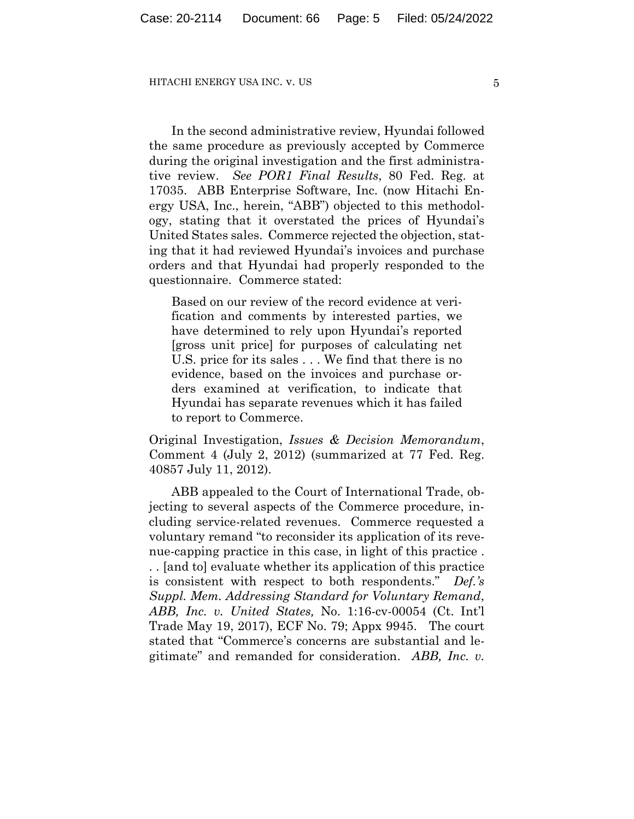In the second administrative review, Hyundai followed the same procedure as previously accepted by Commerce during the original investigation and the first administrative review. *See POR1 Final Results*, 80 Fed. Reg. at 17035. ABB Enterprise Software, Inc. (now Hitachi Energy USA, Inc., herein, "ABB") objected to this methodology, stating that it overstated the prices of Hyundai's United States sales. Commerce rejected the objection, stating that it had reviewed Hyundai's invoices and purchase orders and that Hyundai had properly responded to the questionnaire. Commerce stated:

Based on our review of the record evidence at verification and comments by interested parties, we have determined to rely upon Hyundai's reported [gross unit price] for purposes of calculating net U.S. price for its sales . . . We find that there is no evidence, based on the invoices and purchase orders examined at verification, to indicate that Hyundai has separate revenues which it has failed to report to Commerce.

Original Investigation, *Issues & Decision Memorandum*, Comment 4 (July 2, 2012) (summarized at 77 Fed. Reg. 40857 July 11, 2012).

ABB appealed to the Court of International Trade, objecting to several aspects of the Commerce procedure, including service-related revenues. Commerce requested a voluntary remand "to reconsider its application of its revenue-capping practice in this case, in light of this practice . . . [and to] evaluate whether its application of this practice is consistent with respect to both respondents." *Def.'s Suppl. Mem. Addressing Standard for Voluntary Remand*, *ABB, Inc. v. United States,* No. 1:16-cv-00054 (Ct. Int'l Trade May 19, 2017), ECF No. 79; Appx 9945. The court stated that "Commerce's concerns are substantial and legitimate" and remanded for consideration. *ABB, Inc. v.*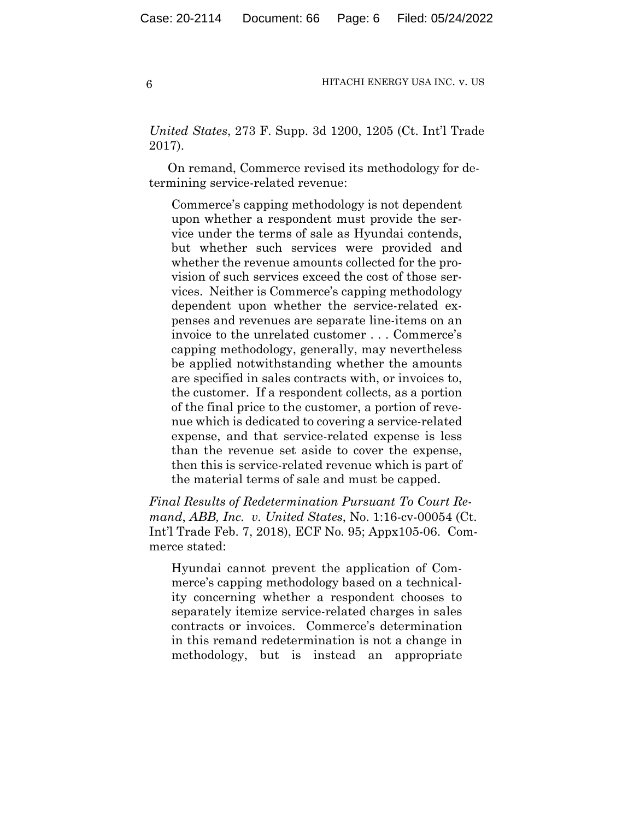*United States*, 273 F. Supp. 3d 1200, 1205 (Ct. Int'l Trade 2017).

On remand, Commerce revised its methodology for determining service-related revenue:

Commerce's capping methodology is not dependent upon whether a respondent must provide the service under the terms of sale as Hyundai contends, but whether such services were provided and whether the revenue amounts collected for the provision of such services exceed the cost of those services. Neither is Commerce's capping methodology dependent upon whether the service-related expenses and revenues are separate line-items on an invoice to the unrelated customer . . . Commerce's capping methodology, generally, may nevertheless be applied notwithstanding whether the amounts are specified in sales contracts with, or invoices to, the customer. If a respondent collects, as a portion of the final price to the customer, a portion of revenue which is dedicated to covering a service-related expense, and that service-related expense is less than the revenue set aside to cover the expense, then this is service-related revenue which is part of the material terms of sale and must be capped.

*Final Results of Redetermination Pursuant To Court Remand*, *ABB, Inc. v. United States*, No. 1:16-cv-00054 (Ct. Int'l Trade Feb. 7, 2018), ECF No. 95; Appx105-06. Commerce stated:

Hyundai cannot prevent the application of Commerce's capping methodology based on a technicality concerning whether a respondent chooses to separately itemize service-related charges in sales contracts or invoices. Commerce's determination in this remand redetermination is not a change in methodology, but is instead an appropriate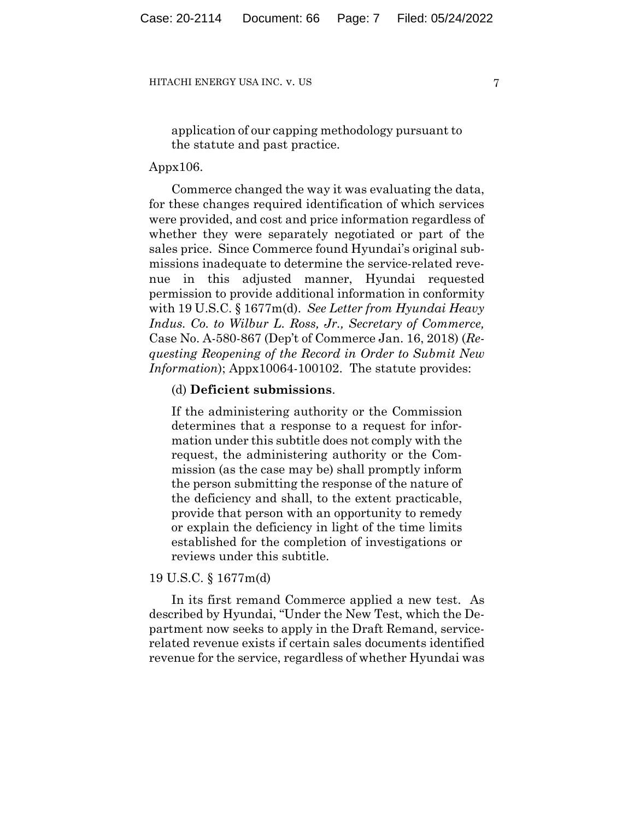application of our capping methodology pursuant to the statute and past practice.

#### Appx106.

Commerce changed the way it was evaluating the data, for these changes required identification of which services were provided, and cost and price information regardless of whether they were separately negotiated or part of the sales price. Since Commerce found Hyundai's original submissions inadequate to determine the service-related revenue in this adjusted manner, Hyundai requested permission to provide additional information in conformity with 19 U.S.C. § 1677m(d). *See Letter from Hyundai Heavy Indus. Co. to Wilbur L. Ross, Jr., Secretary of Commerce,*  Case No. A-580-867 (Dep't of Commerce Jan. 16, 2018) (*Requesting Reopening of the Record in Order to Submit New Information*); Appx10064-100102. The statute provides:

## (d) **Deficient submissions**.

If the administering authority or the Commission determines that a response to a request for information under this subtitle does not comply with the request, the administering authority or the Commission (as the case may be) shall promptly inform the person submitting the response of the nature of the deficiency and shall, to the extent practicable, provide that person with an opportunity to remedy or explain the deficiency in light of the time limits established for the completion of investigations or reviews under this subtitle.

# 19 U.S.C. § 1677m(d)

In its first remand Commerce applied a new test. As described by Hyundai, "Under the New Test, which the Department now seeks to apply in the Draft Remand, servicerelated revenue exists if certain sales documents identified revenue for the service, regardless of whether Hyundai was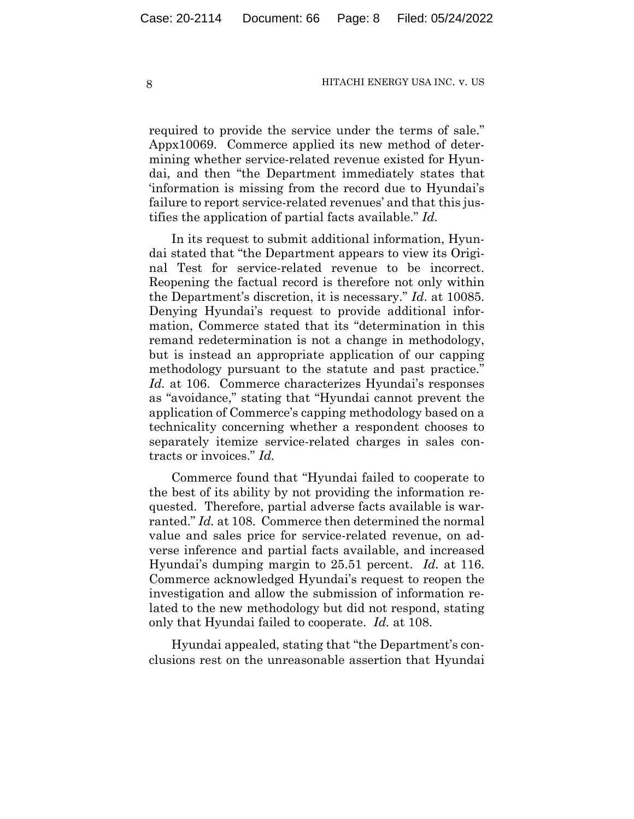required to provide the service under the terms of sale." Appx10069. Commerce applied its new method of determining whether service-related revenue existed for Hyundai, and then "the Department immediately states that 'information is missing from the record due to Hyundai's failure to report service-related revenues' and that this justifies the application of partial facts available." *Id.*

In its request to submit additional information, Hyundai stated that "the Department appears to view its Original Test for service-related revenue to be incorrect. Reopening the factual record is therefore not only within the Department's discretion, it is necessary." *Id*. at 10085. Denying Hyundai's request to provide additional information, Commerce stated that its "determination in this remand redetermination is not a change in methodology, but is instead an appropriate application of our capping methodology pursuant to the statute and past practice." *Id.* at 106. Commerce characterizes Hyundai's responses as "avoidance," stating that "Hyundai cannot prevent the application of Commerce's capping methodology based on a technicality concerning whether a respondent chooses to separately itemize service-related charges in sales contracts or invoices." *Id.*

Commerce found that "Hyundai failed to cooperate to the best of its ability by not providing the information requested. Therefore, partial adverse facts available is warranted." *Id.* at 108. Commerce then determined the normal value and sales price for service-related revenue, on adverse inference and partial facts available, and increased Hyundai's dumping margin to 25.51 percent. *Id.* at 116. Commerce acknowledged Hyundai's request to reopen the investigation and allow the submission of information related to the new methodology but did not respond, stating only that Hyundai failed to cooperate. *Id.* at 108.

Hyundai appealed, stating that "the Department's conclusions rest on the unreasonable assertion that Hyundai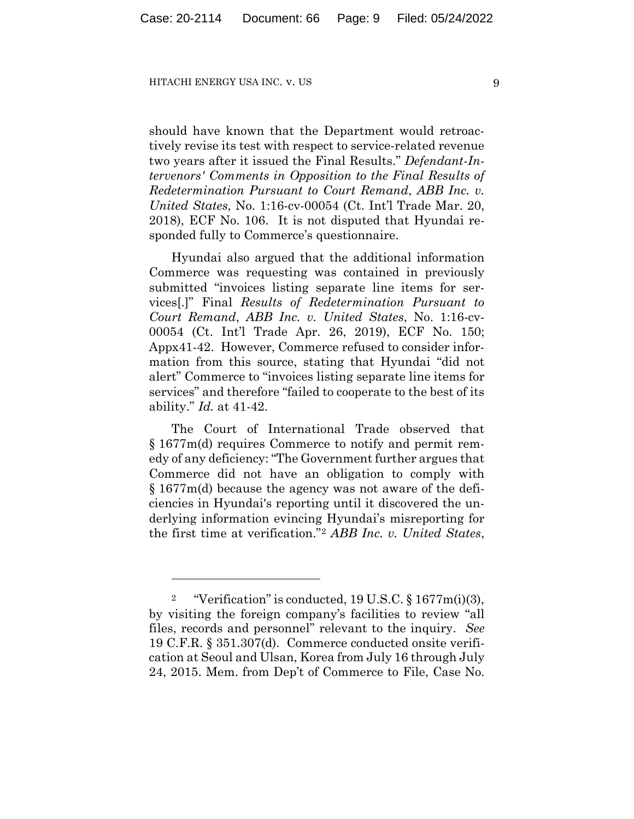should have known that the Department would retroactively revise its test with respect to service-related revenue two years after it issued the Final Results." *Defendant-Intervenors' Comments in Opposition to the Final Results of Redetermination Pursuant to Court Remand*, *ABB Inc. v. United States*, No. 1:16-cv-00054 (Ct. Int'l Trade Mar. 20, 2018), ECF No. 106. It is not disputed that Hyundai responded fully to Commerce's questionnaire.

Hyundai also argued that the additional information Commerce was requesting was contained in previously submitted "invoices listing separate line items for services[.]" Final *Results of Redetermination Pursuant to Court Remand*, *ABB Inc. v. United States*, No. 1:16-cv-00054 (Ct. Int'l Trade Apr. 26, 2019), ECF No. 150; Appx41-42. However, Commerce refused to consider information from this source, stating that Hyundai "did not alert" Commerce to "invoices listing separate line items for services" and therefore "failed to cooperate to the best of its ability." *Id.* at 41-42.

The Court of International Trade observed that § 1677m(d) requires Commerce to notify and permit remedy of any deficiency: "The Government further argues that Commerce did not have an obligation to comply with § 1677m(d) because the agency was not aware of the deficiencies in Hyundai's reporting until it discovered the underlying information evincing Hyundai's misreporting for the first time at verification."2 *ABB Inc. v. United States*,

<sup>&</sup>lt;sup>2</sup> "Verification" is conducted, 19 U.S.C.  $\S 1677m(i)(3)$ , by visiting the foreign company's facilities to review "all files, records and personnel" relevant to the inquiry. *See* 19 C.F.R. § 351.307(d). Commerce conducted onsite verification at Seoul and Ulsan, Korea from July 16 through July 24, 2015. Mem. from Dep't of Commerce to File, Case No.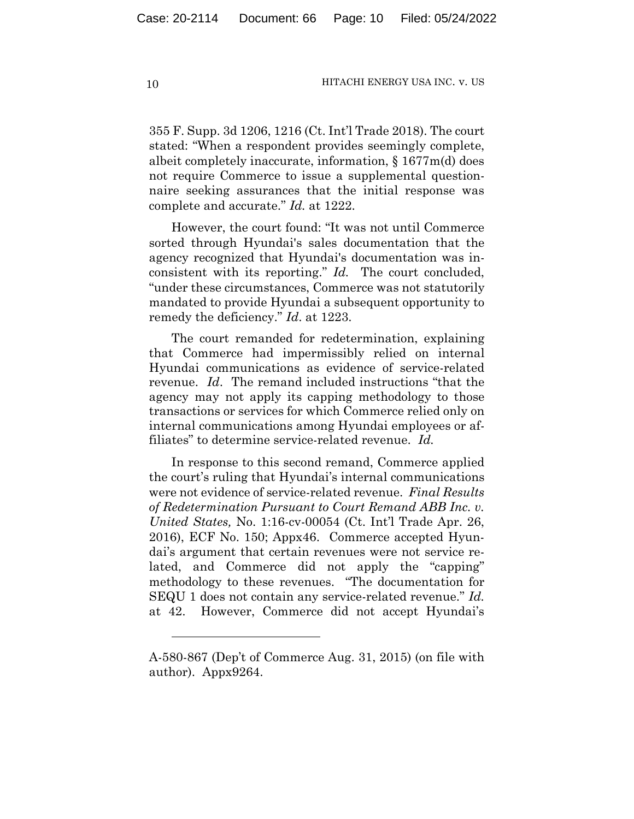355 F. Supp. 3d 1206, 1216 (Ct. Int'l Trade 2018). The court stated: "When a respondent provides seemingly complete, albeit completely inaccurate, information, § 1677m(d) does not require Commerce to issue a supplemental questionnaire seeking assurances that the initial response was complete and accurate." *Id.* at 1222.

However, the court found: "It was not until Commerce sorted through Hyundai's sales documentation that the agency recognized that Hyundai's documentation was inconsistent with its reporting." *Id.* The court concluded, "under these circumstances, Commerce was not statutorily mandated to provide Hyundai a subsequent opportunity to remedy the deficiency." *Id*. at 1223.

The court remanded for redetermination, explaining that Commerce had impermissibly relied on internal Hyundai communications as evidence of service-related revenue. *Id*. The remand included instructions "that the agency may not apply its capping methodology to those transactions or services for which Commerce relied only on internal communications among Hyundai employees or affiliates" to determine service-related revenue. *Id.*

In response to this second remand, Commerce applied the court's ruling that Hyundai's internal communications were not evidence of service-related revenue. *Final Results of Redetermination Pursuant to Court Remand ABB Inc. v. United States,* No. 1:16-cv-00054 (Ct. Int'l Trade Apr. 26, 2016), ECF No. 150; Appx46. Commerce accepted Hyundai's argument that certain revenues were not service related, and Commerce did not apply the "capping" methodology to these revenues. "The documentation for SEQU 1 does not contain any service-related revenue." *Id.* at 42.However, Commerce did not accept Hyundai's

A-580-867 (Dep't of Commerce Aug. 31, 2015) (on file with author). Appx9264.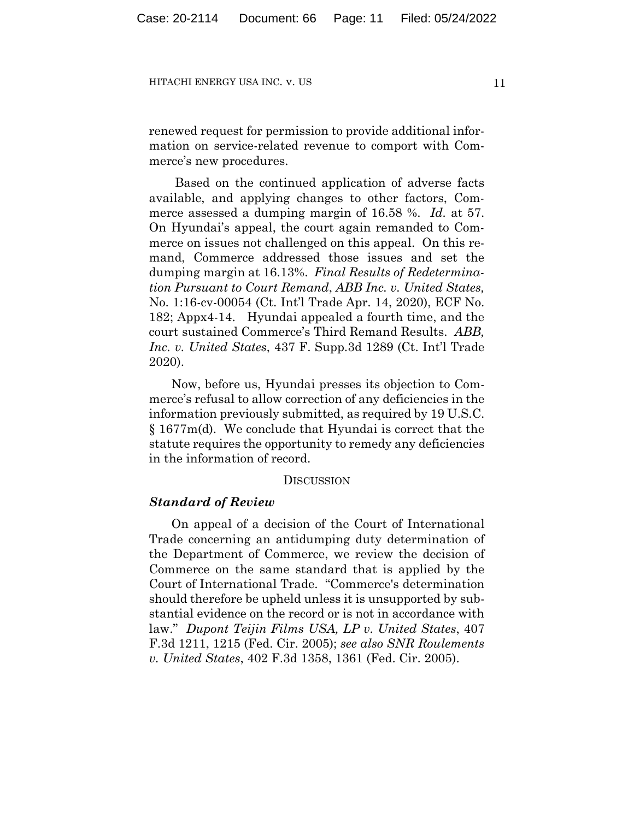renewed request for permission to provide additional information on service-related revenue to comport with Commerce's new procedures.

Based on the continued application of adverse facts available, and applying changes to other factors, Commerce assessed a dumping margin of 16.58 %. *Id.* at 57. On Hyundai's appeal, the court again remanded to Commerce on issues not challenged on this appeal. On this remand, Commerce addressed those issues and set the dumping margin at 16.13%. *Final Results of Redetermination Pursuant to Court Remand*, *ABB Inc. v. United States,* No. 1:16-cv-00054 (Ct. Int'l Trade Apr. 14, 2020), ECF No. 182; Appx4-14. Hyundai appealed a fourth time, and the court sustained Commerce's Third Remand Results. *ABB, Inc. v. United States*, 437 F. Supp.3d 1289 (Ct. Int'l Trade 2020).

Now, before us, Hyundai presses its objection to Commerce's refusal to allow correction of any deficiencies in the information previously submitted, as required by 19 U.S.C. § 1677m(d). We conclude that Hyundai is correct that the statute requires the opportunity to remedy any deficiencies in the information of record.

#### DISCUSSION

# *Standard of Review*

On appeal of a decision of the Court of International Trade concerning an antidumping duty determination of the Department of Commerce, we review the decision of Commerce on the same standard that is applied by the Court of International Trade. "Commerce's determination should therefore be upheld unless it is unsupported by substantial evidence on the record or is not in accordance with law." *Dupont Teijin Films USA, LP v. United States*, 407 F.3d 1211, 1215 (Fed. Cir. 2005); *see also SNR Roulements v. United States*, 402 F.3d 1358, 1361 (Fed. Cir. 2005).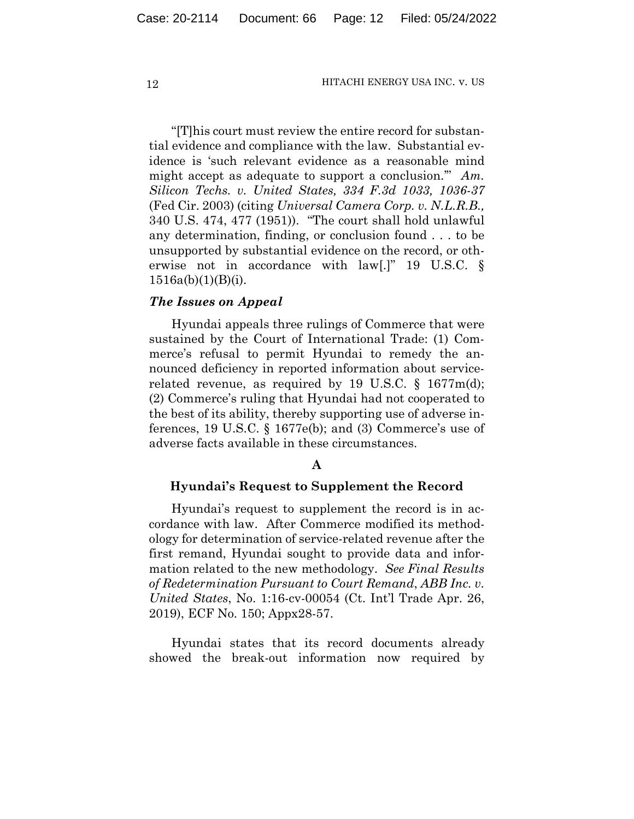"[T]his court must review the entire record for substantial evidence and compliance with the law. Substantial evidence is 'such relevant evidence as a reasonable mind might accept as adequate to support a conclusion.'" *Am. Silicon Techs. v. United States, 334 F.3d 1033, 1036-37*  (Fed Cir. 2003) (citing *Universal Camera Corp. v. N.L.R.B.,* 340 U.S. 474, 477 (1951)). "The court shall hold unlawful any determination, finding, or conclusion found . . . to be unsupported by substantial evidence on the record, or otherwise not in accordance with law[.]" 19 U.S.C. §  $1516a(b)(1)(B)(i)$ .

#### *The Issues on Appeal*

Hyundai appeals three rulings of Commerce that were sustained by the Court of International Trade: (1) Commerce's refusal to permit Hyundai to remedy the announced deficiency in reported information about servicerelated revenue, as required by 19 U.S.C.  $\S$  1677m(d); (2) Commerce's ruling that Hyundai had not cooperated to the best of its ability, thereby supporting use of adverse inferences, 19 U.S.C. § 1677e(b); and (3) Commerce's use of adverse facts available in these circumstances.

# **A**

#### **Hyundai's Request to Supplement the Record**

Hyundai's request to supplement the record is in accordance with law. After Commerce modified its methodology for determination of service-related revenue after the first remand, Hyundai sought to provide data and information related to the new methodology. *See Final Results of Redetermination Pursuant to Court Remand*, *ABB Inc. v. United States*, No. 1:16-cv-00054 (Ct. Int'l Trade Apr. 26, 2019), ECF No. 150; Appx28-57.

Hyundai states that its record documents already showed the break-out information now required by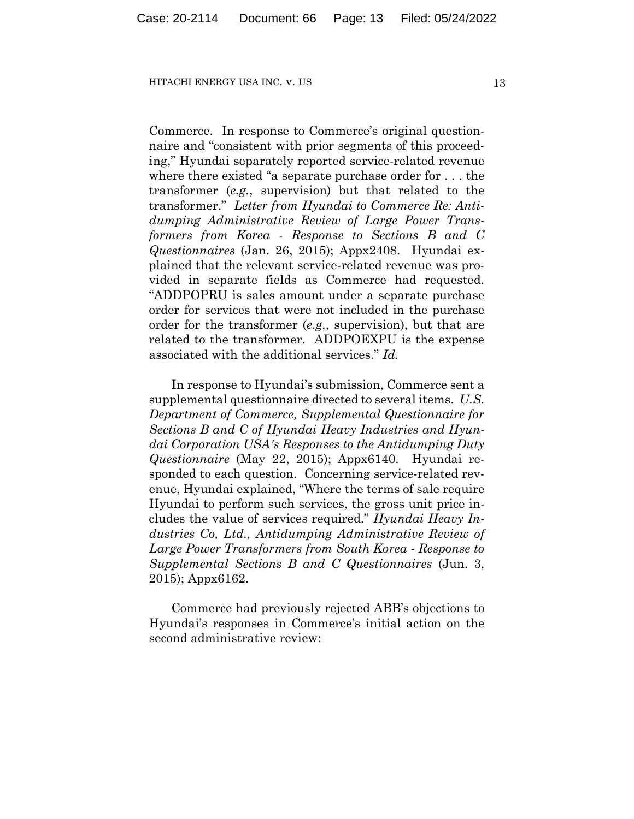Commerce. In response to Commerce's original questionnaire and "consistent with prior segments of this proceeding," Hyundai separately reported service-related revenue where there existed "a separate purchase order for . . . the transformer (*e.g.*, supervision) but that related to the transformer." *Letter from Hyundai to Commerce Re: Antidumping Administrative Review of Large Power Transformers from Korea - Response to Sections B and C Questionnaires* (Jan. 26, 2015); Appx2408. Hyundai explained that the relevant service-related revenue was provided in separate fields as Commerce had requested. "ADDPOPRU is sales amount under a separate purchase order for services that were not included in the purchase order for the transformer (*e.g.*, supervision), but that are related to the transformer. ADDPOEXPU is the expense associated with the additional services." *Id.*

In response to Hyundai's submission, Commerce sent a supplemental questionnaire directed to several items. *U.S. Department of Commerce, Supplemental Questionnaire for Sections B and C of Hyundai Heavy Industries and Hyundai Corporation USA's Responses to the Antidumping Duty Questionnaire* (May 22, 2015); Appx6140. Hyundai responded to each question. Concerning service-related revenue, Hyundai explained, "Where the terms of sale require Hyundai to perform such services, the gross unit price includes the value of services required." *Hyundai Heavy Industries Co, Ltd., Antidumping Administrative Review of Large Power Transformers from South Korea - Response to Supplemental Sections B and C Questionnaires* (Jun. 3, 2015); Appx6162.

Commerce had previously rejected ABB's objections to Hyundai's responses in Commerce's initial action on the second administrative review: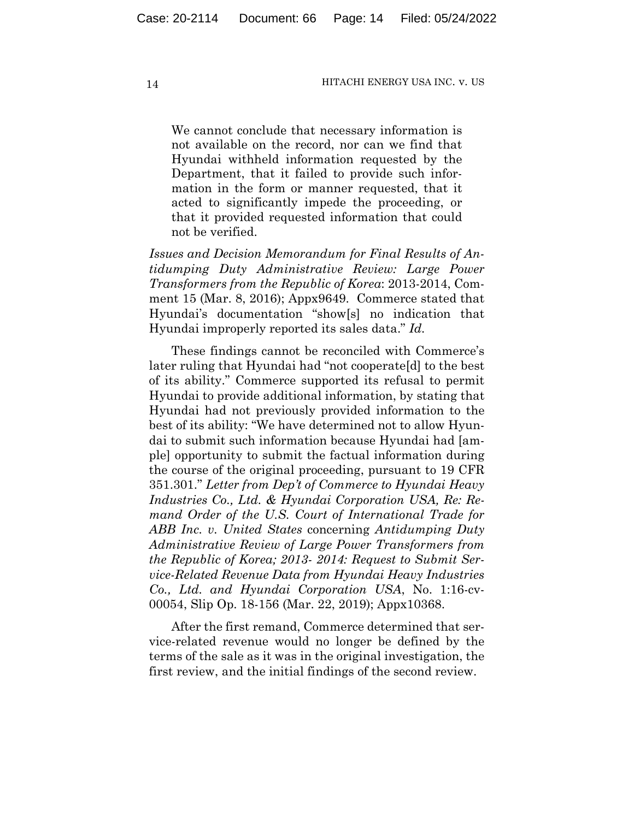We cannot conclude that necessary information is not available on the record, nor can we find that Hyundai withheld information requested by the Department, that it failed to provide such information in the form or manner requested, that it acted to significantly impede the proceeding, or that it provided requested information that could not be verified.

*Issues and Decision Memorandum for Final Results of Antidumping Duty Administrative Review: Large Power Transformers from the Republic of Korea*: 2013-2014, Comment 15 (Mar. 8, 2016); Appx9649. Commerce stated that Hyundai's documentation "show[s] no indication that Hyundai improperly reported its sales data." *Id.*

These findings cannot be reconciled with Commerce's later ruling that Hyundai had "not cooperate[d] to the best of its ability." Commerce supported its refusal to permit Hyundai to provide additional information, by stating that Hyundai had not previously provided information to the best of its ability: "We have determined not to allow Hyundai to submit such information because Hyundai had [ample] opportunity to submit the factual information during the course of the original proceeding, pursuant to 19 CFR 351.301." *Letter from Dep't of Commerce to Hyundai Heavy Industries Co., Ltd. & Hyundai Corporation USA, Re: Remand Order of the U.S. Court of International Trade for ABB Inc. v. United States* concerning *Antidumping Duty Administrative Review of Large Power Transformers from the Republic of Korea; 2013- 2014: Request to Submit Service-Related Revenue Data from Hyundai Heavy Industries Co., Ltd. and Hyundai Corporation USA*, No. 1:16-cv-00054, Slip Op. 18-156 (Mar. 22, 2019); Appx10368.

After the first remand, Commerce determined that service-related revenue would no longer be defined by the terms of the sale as it was in the original investigation, the first review, and the initial findings of the second review.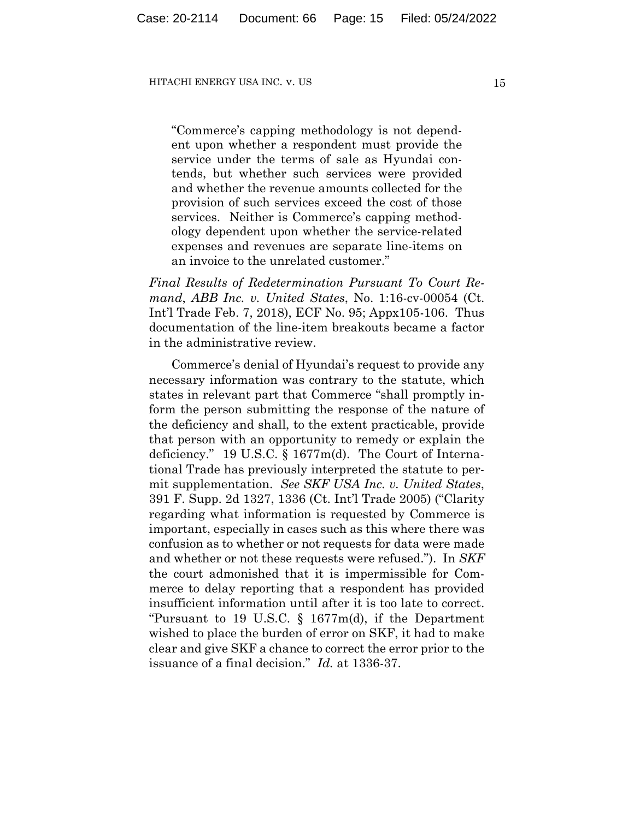"Commerce's capping methodology is not dependent upon whether a respondent must provide the service under the terms of sale as Hyundai contends, but whether such services were provided and whether the revenue amounts collected for the provision of such services exceed the cost of those services. Neither is Commerce's capping methodology dependent upon whether the service-related expenses and revenues are separate line-items on an invoice to the unrelated customer."

*Final Results of Redetermination Pursuant To Court Remand*, *ABB Inc. v. United States*, No. 1:16-cv-00054 (Ct. Int'l Trade Feb. 7, 2018), ECF No. 95; Appx105-106. Thus documentation of the line-item breakouts became a factor in the administrative review.

Commerce's denial of Hyundai's request to provide any necessary information was contrary to the statute, which states in relevant part that Commerce "shall promptly inform the person submitting the response of the nature of the deficiency and shall, to the extent practicable, provide that person with an opportunity to remedy or explain the deficiency." 19 U.S.C. § 1677m(d). The Court of International Trade has previously interpreted the statute to permit supplementation. *See SKF USA Inc. v. United States*, 391 F. Supp. 2d 1327, 1336 (Ct. Int'l Trade 2005) ("Clarity regarding what information is requested by Commerce is important, especially in cases such as this where there was confusion as to whether or not requests for data were made and whether or not these requests were refused."). In *SKF* the court admonished that it is impermissible for Commerce to delay reporting that a respondent has provided insufficient information until after it is too late to correct. "Pursuant to 19 U.S.C. § 1677m(d), if the Department wished to place the burden of error on SKF, it had to make clear and give SKF a chance to correct the error prior to the issuance of a final decision." *Id.* at 1336-37.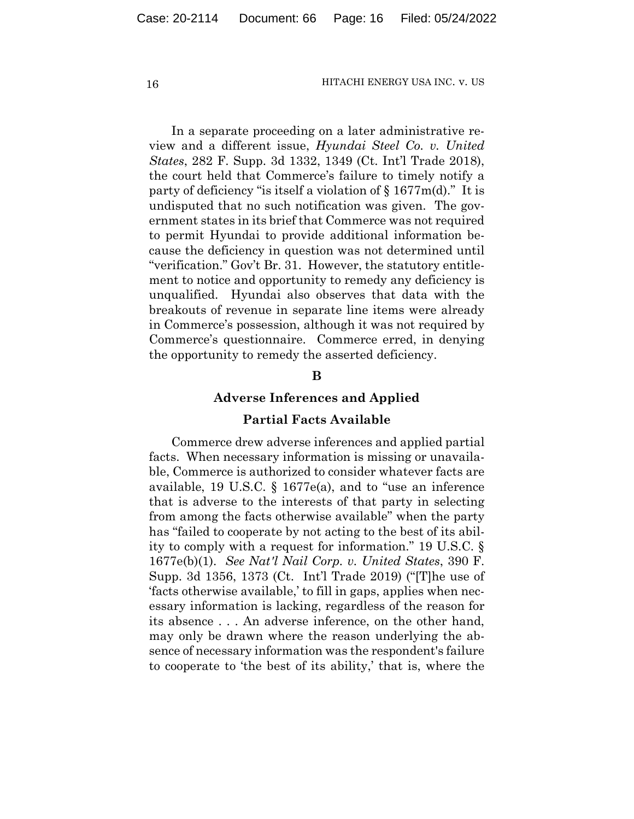In a separate proceeding on a later administrative review and a different issue, *Hyundai Steel Co. v. United States*, 282 F. Supp. 3d 1332, 1349 (Ct. Int'l Trade 2018), the court held that Commerce's failure to timely notify a party of deficiency "is itself a violation of  $\S 1677m(d)$ ." It is undisputed that no such notification was given. The government states in its brief that Commerce was not required to permit Hyundai to provide additional information because the deficiency in question was not determined until "verification." Gov't Br. 31. However, the statutory entitlement to notice and opportunity to remedy any deficiency is unqualified. Hyundai also observes that data with the breakouts of revenue in separate line items were already in Commerce's possession, although it was not required by Commerce's questionnaire. Commerce erred, in denying the opportunity to remedy the asserted deficiency.

# **B**

#### **Adverse Inferences and Applied**

### **Partial Facts Available**

Commerce drew adverse inferences and applied partial facts. When necessary information is missing or unavailable, Commerce is authorized to consider whatever facts are available, 19 U.S.C. § 1677e(a), and to "use an inference that is adverse to the interests of that party in selecting from among the facts otherwise available" when the party has "failed to cooperate by not acting to the best of its ability to comply with a request for information." 19 U.S.C. § 1677e(b)(1). *See Nat'l Nail Corp. v. United States*, 390 F. Supp. 3d 1356, 1373 (Ct. Int'l Trade 2019) ("[T]he use of 'facts otherwise available,' to fill in gaps, applies when necessary information is lacking, regardless of the reason for its absence . . . An adverse inference, on the other hand, may only be drawn where the reason underlying the absence of necessary information was the respondent's failure to cooperate to 'the best of its ability,' that is, where the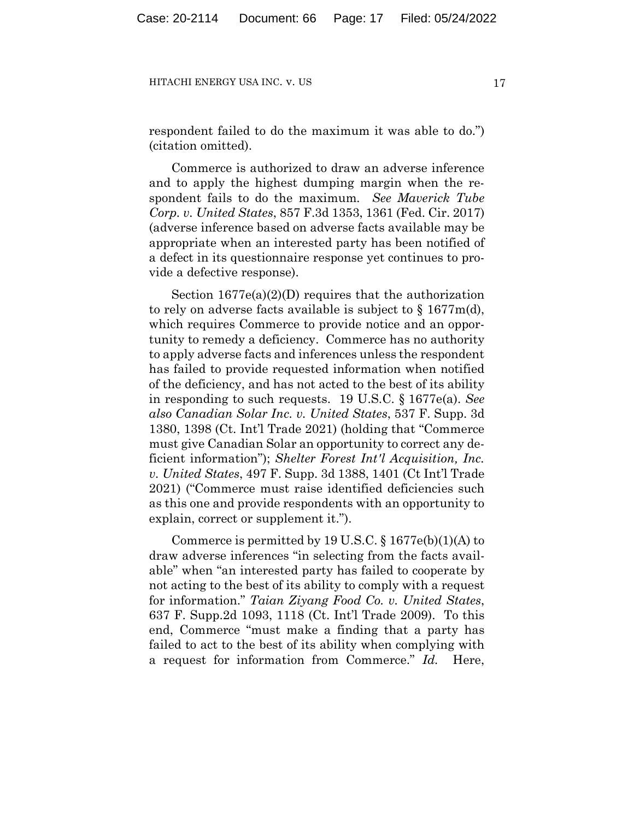respondent failed to do the maximum it was able to do.") (citation omitted).

Commerce is authorized to draw an adverse inference and to apply the highest dumping margin when the respondent fails to do the maximum*. See Maverick Tube Corp. v. United States*, 857 F.3d 1353, 1361 (Fed. Cir. 2017) (adverse inference based on adverse facts available may be appropriate when an interested party has been notified of a defect in its questionnaire response yet continues to provide a defective response).

Section 1677e(a)(2)(D) requires that the authorization to rely on adverse facts available is subject to  $\S 1677m(d)$ , which requires Commerce to provide notice and an opportunity to remedy a deficiency. Commerce has no authority to apply adverse facts and inferences unless the respondent has failed to provide requested information when notified of the deficiency, and has not acted to the best of its ability in responding to such requests. 19 U.S.C. § 1677e(a). *See also Canadian Solar Inc. v. United States*, 537 F. Supp. 3d 1380, 1398 (Ct. Int'l Trade 2021) (holding that "Commerce must give Canadian Solar an opportunity to correct any deficient information"); *Shelter Forest Int'l Acquisition, Inc. v. United States*, 497 F. Supp. 3d 1388, 1401 (Ct Int'l Trade 2021) ("Commerce must raise identified deficiencies such as this one and provide respondents with an opportunity to explain, correct or supplement it.").

Commerce is permitted by 19 U.S.C.  $\S 1677e(b)(1)(A)$  to draw adverse inferences "in selecting from the facts available" when "an interested party has failed to cooperate by not acting to the best of its ability to comply with a request for information." *Taian Ziyang Food Co. v. United States*, 637 F. Supp.2d 1093, 1118 (Ct. Int'l Trade 2009). To this end, Commerce "must make a finding that a party has failed to act to the best of its ability when complying with a request for information from Commerce." *Id.* Here,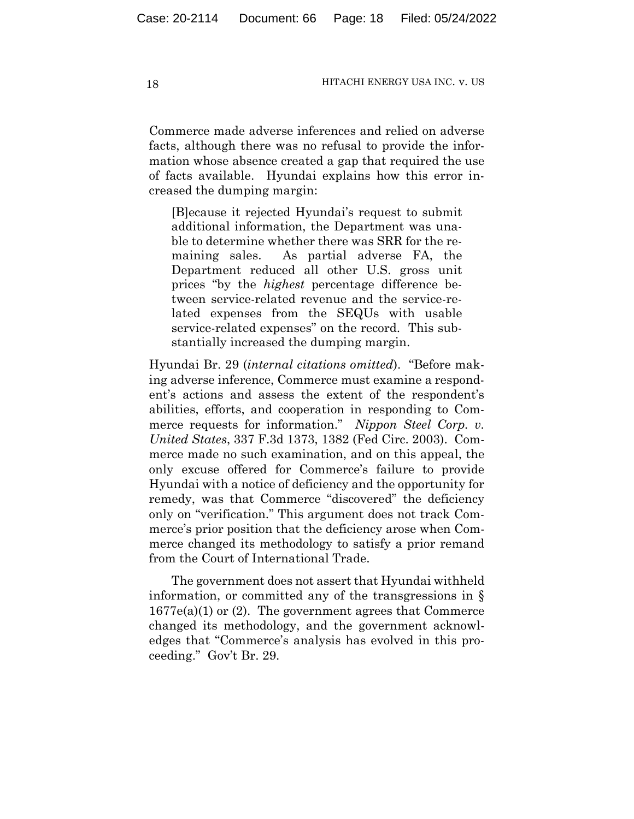Commerce made adverse inferences and relied on adverse facts, although there was no refusal to provide the information whose absence created a gap that required the use of facts available. Hyundai explains how this error increased the dumping margin:

[B]ecause it rejected Hyundai's request to submit additional information, the Department was unable to determine whether there was SRR for the remaining sales. As partial adverse FA, the Department reduced all other U.S. gross unit prices "by the *highest* percentage difference between service-related revenue and the service-related expenses from the SEQUs with usable service-related expenses" on the record. This substantially increased the dumping margin.

Hyundai Br. 29 (*internal citations omitted*). "Before making adverse inference, Commerce must examine a respondent's actions and assess the extent of the respondent's abilities, efforts, and cooperation in responding to Commerce requests for information." *Nippon Steel Corp. v. United States*, 337 F.3d 1373, 1382 (Fed Circ. 2003). Commerce made no such examination, and on this appeal, the only excuse offered for Commerce's failure to provide Hyundai with a notice of deficiency and the opportunity for remedy, was that Commerce "discovered" the deficiency only on "verification." This argument does not track Commerce's prior position that the deficiency arose when Commerce changed its methodology to satisfy a prior remand from the Court of International Trade.

The government does not assert that Hyundai withheld information, or committed any of the transgressions in § 1677e(a)(1) or (2). The government agrees that Commerce changed its methodology, and the government acknowledges that "Commerce's analysis has evolved in this proceeding." Gov't Br. 29.